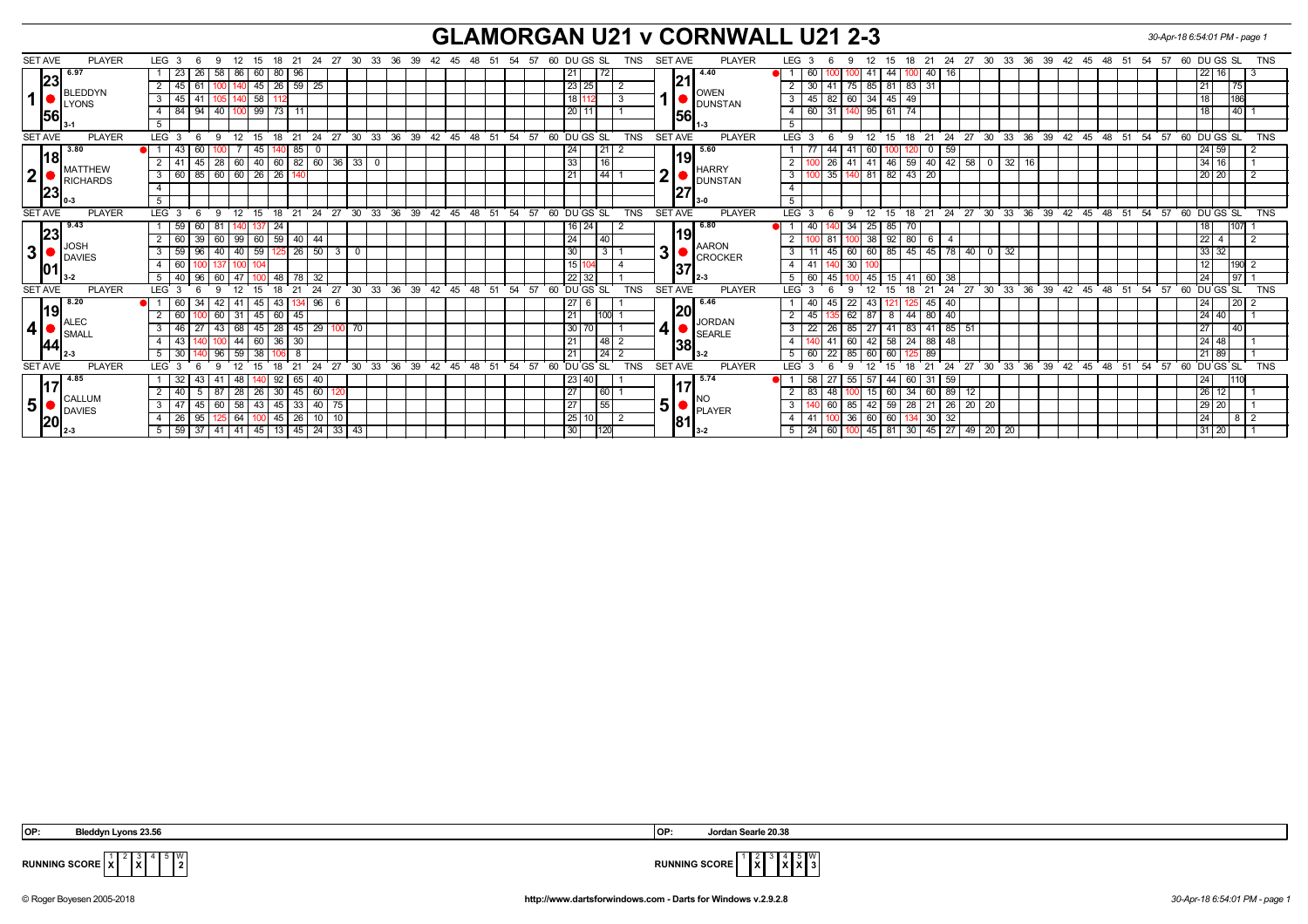## **GLAMORGAN U21 v CORNWALL U21 2-3** *30-Apr-18 6:54:01 PM - page 1*

| <b>SET AVE</b><br><b>PLAYER</b>                                           | LEG <sub>3</sub><br>-9<br>12 15                    | 18 21 24 27 30 33 36 39 42 45 48 51 54 57 |                     |          |                   |                | 60 DU GS SL<br>TNS           | <b>PLAYER</b><br><b>SET AVE</b> | LEG <sub>3</sub><br>-6            |                                 |                                      |            |                             |          |                               |             |                   | 12 15 18 21 24 27 30 33 36 39 42 45 48 51 54 57 60 DU GS SL | <b>TNS</b>     |
|---------------------------------------------------------------------------|----------------------------------------------------|-------------------------------------------|---------------------|----------|-------------------|----------------|------------------------------|---------------------------------|-----------------------------------|---------------------------------|--------------------------------------|------------|-----------------------------|----------|-------------------------------|-------------|-------------------|-------------------------------------------------------------|----------------|
| 6.97                                                                      | 23<br>86<br>26<br>58<br>60 80 96                   |                                           |                     |          |                   |                | 72<br>21                     | 4.40                            | 60                                | -41                             | 44<br>40<br>100                      |            |                             |          |                               |             |                   | 22 16                                                       |                |
| 23<br>BLEDDYN<br>1<br><b>U</b> LYONS<br>56                                | 45                                                 | 45   26   59<br>25                        |                     |          |                   |                | 23 25                        | 21                              | 30                                |                                 | 75   85   81   83   31               |            |                             |          |                               |             |                   | 75                                                          |                |
|                                                                           | 58<br>45                                           |                                           |                     |          |                   |                | 18 112                       | <b>OWEN</b>                     | $\overline{3}$<br>45   82         | 60 34 45 49                     |                                      |            |                             |          |                               |             |                   | 186                                                         |                |
|                                                                           | $99$ 73 11<br>84<br>  40  <br>94                   |                                           |                     |          |                   |                | 20                           | <b>DUNSTAN</b>                  | $\overline{4}$<br>60 31           |                                 | 95   61   74                         |            |                             |          |                               |             |                   |                                                             | $140$   1      |
|                                                                           | 5                                                  |                                           |                     |          |                   |                |                              | <b>156</b>                      | 5                                 |                                 |                                      |            |                             |          |                               |             |                   |                                                             |                |
| <b>SET AVE</b><br><b>PLAYER</b>                                           | <b>LEG</b><br>12<br>18<br>-6<br>$\mathbf{q}$<br>15 | 24<br>27<br>$30^{\circ}$<br>21            | 36 39<br>$33^\circ$ |          | 42 45 48 51       | 54<br>57       | 60 DUGS SL<br><b>TNS</b>     | <b>SET AVE</b><br><b>PLAYER</b> | <b>LEG</b>                        | 12<br>$\mathbf{q}$              | ີ 15<br>18<br>21                     | $24$ 27    | $30^{\circ}$                | 33 36 39 |                               |             | 42 45 48 51 54 57 | 60 DUGS SL                                                  | <b>TNS</b>     |
| 3.80                                                                      | 43<br>60<br>45                                     | 85<br>U                                   |                     |          |                   |                | 21<br>24                     | 5.60                            | -44                               | 60<br>41                        | 0<br>12                              | 59         |                             |          |                               |             |                   | 24 59                                                       |                |
| 18                                                                        | 60<br>41<br>28                                     | 40   60   82<br>60 36                     | 33<br>$\mathbf 0$   |          |                   |                | 33<br>16                     | 19                              | 2<br>26                           | 41<br>-41                       | 46 59                                | 40 42 58   | $32 \mid 16$<br>$\mathbf 0$ |          |                               |             |                   | 34 16                                                       |                |
| MATTHEW<br> 2                                                             | 85 60 60 26 26 140<br>60<br>$\mathbf{3}$           |                                           |                     |          |                   |                | 44 <br>21                    | HARRY<br>2                      | $\overline{3}$<br>0 <sup>35</sup> |                                 | 140 81 82 43 20                      |            |                             |          |                               |             |                   | 20 20                                                       | $\overline{2}$ |
| RICHARDS<br> 23                                                           |                                                    |                                           |                     |          |                   |                |                              | <b>DUNSTAN</b><br> 27           | $\overline{4}$                    |                                 |                                      |            |                             |          |                               |             |                   |                                                             |                |
|                                                                           | 5                                                  |                                           |                     |          |                   |                |                              |                                 | 5                                 |                                 |                                      |            |                             |          |                               |             |                   |                                                             |                |
| <b>SET AVE</b><br><b>PLAYER</b>                                           | LEG <sub>3</sub><br>12<br>-6<br>15<br>18<br>-9     | 24<br>27<br>$30^{\circ}$<br>21            | 33<br>36<br>39      | 42       | 51<br>45<br>$-48$ | 54<br>57       | 60<br>DU GS SL<br><b>TNS</b> | <b>SET AVE</b><br><b>PLAYER</b> | <b>LEG</b>                        | 12 <sup>°</sup>                 | 18<br>21<br>- 15                     | 24<br>27   | 30<br>33 36                 | 39       | $42 \quad 45$                 | $-48$<br>51 | 54<br>57          | 60 DU GS SL                                                 | <b>TNS</b>     |
| 9.43<br> 23<br>$\Box$ JOSH<br>3 <sup>1</sup><br>DAVIES                    | 59<br>60<br>24                                     |                                           |                     |          |                   |                | 24<br>16                     | 6.80                            | 40                                | 34<br>25                        | 70<br>85 I                           |            |                             |          |                               |             |                   | 107                                                         |                |
|                                                                           | 99   60   59   40<br>60<br>39 60                   | 44                                        |                     |          |                   |                | 24<br>40                     | 19                              |                                   | 1001                            | 38   92   80<br>- 6 I                |            |                             |          |                               |             |                   |                                                             | $\sqrt{2}$     |
|                                                                           | 59<br>40<br>59<br>26<br>50<br>40<br>0<br>60<br>100 |                                           |                     |          |                   |                | 30<br>3                      | <b>AARON</b><br>3<br>CROCKER    | 3                                 | 60                              | 60   85   45  <br>$45$ 78            | 40         | 32<br>$\mathbf 0$           |          |                               |             |                   | 33 32                                                       |                |
|                                                                           |                                                    |                                           |                     |          |                   | 15 104         | 37                           | $\overline{4}$<br>41            | 30                                |                                 |                                      |            |                             |          |                               |             |                   | $190$ 2                                                     |                |
|                                                                           | 40<br>47                                           | 78<br>48<br>-32                           |                     |          |                   |                | $22 \mid 32$                 |                                 | 5<br>60                           | 45                              | 15   41<br>60                        | 38         |                             |          |                               |             |                   | 1971<br>24                                                  |                |
| <b>SET AVE</b><br><b>PLAYER</b>                                           | LEG <sub>3</sub><br>12<br>$\mathbf{q}$<br>15<br>18 | 24<br>27 30<br>21                         | 33 36 39            |          | 42 45 48 51       | 54 57          | DU GS SL<br><b>TNS</b><br>60 | <b>SET AVE</b><br><b>PLAYER</b> | <b>LEG</b><br>$\mathbf{3}$        | 12 <sup>2</sup><br>$\mathbf{Q}$ | $^{\circ}$ 15<br>18<br>$^{\circ}$ 21 | $24$ 27 30 |                             |          | $33 \t36 \t39 \t42 \t45 \t48$ |             | 51 54 57          | 60 DUGS SL                                                  | <b>TNS</b>     |
| 8.20                                                                      | 60<br>41<br>45                                     | 43 <sup>1</sup><br>96<br>134              |                     |          |                   |                | 27                           | 6.46                            |                                   | 22                              | 45<br>125                            | -40        |                             |          |                               |             |                   |                                                             | $\sqrt{20}$ 2  |
| 19                                                                        | 60<br>31<br>60<br>$45 \mid 60 \mid 45$             |                                           |                     |          |                   |                | $\overline{21}$<br>100       | 20                              | $\mathbf{2}$<br>45                | 62<br>-87                       | $\sqrt{44}$<br>80 40<br>-8           |            |                             |          |                               |             |                   | $24$ 40                                                     |                |
| $\blacksquare$ ALEC<br> 4 <br>$\bullet$ SMALI                             | 68<br>46<br>43                                     | $45$   28   45<br><b>29</b><br>100 70     |                     |          |                   |                | 30 70                        | JORDAN<br>4<br>SEARLE           | 3<br>22                           | 85<br>27                        | $41 \mid 83$<br>41                   | 85 51      |                             |          |                               |             |                   | 27<br>140                                                   |                |
| 44                                                                        | 44<br>43<br>60                                     | 36<br>30                                  |                     |          |                   |                | 48 2<br>21                   |                                 | $\overline{4}$                    | 60                              | $42$ 58 $24$<br>88 I                 | 48         |                             |          |                               |             |                   | $24$ 48                                                     |                |
|                                                                           | 30<br>59<br>38                                     | 8                                         |                     |          |                   |                | 24 2<br>21                   | 38                              | 5 <sup>7</sup><br>60<br>22        | 85<br>60                        | 89                                   |            |                             |          |                               |             |                   | 21 89                                                       |                |
| <b>SET AVE</b><br><b>PLAYER</b>                                           | LEG                                                | 24<br>27                                  | 30<br>33<br>36      | 39<br>42 | 45<br>48<br>51    | 54<br>.57      | DU GS SL<br><b>TNS</b><br>60 | <b>SET AVE</b><br><b>PLAYER</b> | <b>LEG</b>                        |                                 | 18<br>21                             | 24<br>27   | 30<br>33                    | 36<br>39 | 42<br>45                      | 48<br>-51   | 57<br>-54         | 60 DU GS SL                                                 | <b>TNS</b>     |
| 4.85<br>117<br>$\Box$ CALLUM<br>5 <sup>1</sup><br>DAVIES<br> 20<br>- 12-3 | 32<br>48                                           | $92 \mid 65$<br>40                        |                     |          |                   |                | 23140                        | 5.74                            | 58                                | 55<br>-57                       | 44   60<br>-31                       | 59         |                             |          |                               |             |                   | 111C<br>l 24                                                |                |
|                                                                           | 28<br>40<br>-26                                    | 45<br>60<br>30 I                          |                     |          |                   |                | 27<br>60                     |                                 |                                   | 15                              | -34<br>60 I                          | 89<br>12   |                             |          |                               |             |                   | 26   12                                                     |                |
|                                                                           | 47<br>58<br>60<br>45                               | $43 \mid 45 \mid 33$<br>40 75             |                     |          | 27<br>55          | 5 <sup>1</sup> | 3<br>-60                     | 85                              | $42$ 59 $28$                      | 21 26 20 20                     |                                      |            |                             |          |                               | 29 20       |                   |                                                             |                |
|                                                                           | 26<br>64                                           | 26<br>10 10<br>45 I                       |                     |          |                   |                | 25<br>2                      | PLAYER<br> 81                   | 4                                 | 36<br>60                        | 60<br>$30 \mid 32$<br>134            |            |                             |          |                               |             |                   | 24                                                          | $8$   2        |
|                                                                           | 59   37   41   41   45   13   45   24   33   43    |                                           |                     |          |                   |                | 30<br>120                    | $3-2$                           | $5 \mid 24 \mid 60 \mid$          |                                 | 100 45 81 30 45 27 49 20 20          |            |                             |          |                               |             |                   | 31 20                                                       |                |

2 3 **X**  $\mathbb{I}^{\mathsf{w}}_2$ 



**RUNNING SCORE**  $\frac{1}{x}$